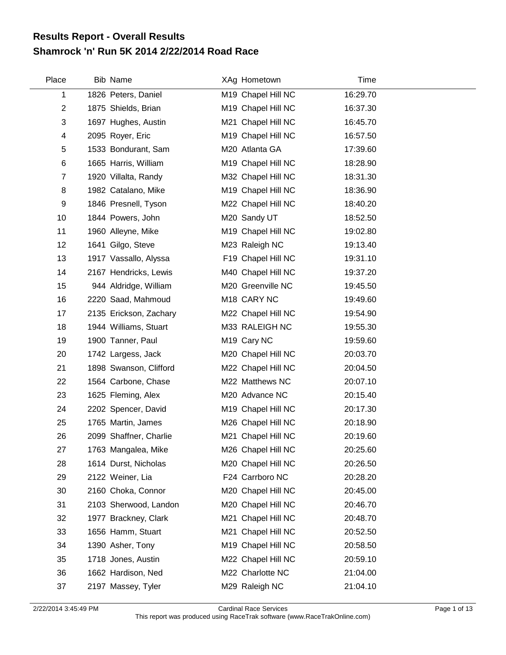## **Shamrock 'n' Run 5K 2014 2/22/2014 Road Race Results Report - Overall Results**

| Place          | <b>Bib Name</b>        | XAg Hometown            | Time     |  |
|----------------|------------------------|-------------------------|----------|--|
| 1              | 1826 Peters, Daniel    | M19 Chapel Hill NC      | 16:29.70 |  |
| $\overline{c}$ | 1875 Shields, Brian    | M19 Chapel Hill NC      | 16:37.30 |  |
| 3              | 1697 Hughes, Austin    | M21 Chapel Hill NC      | 16:45.70 |  |
| 4              | 2095 Royer, Eric       | M19 Chapel Hill NC      | 16:57.50 |  |
| 5              | 1533 Bondurant, Sam    | M20 Atlanta GA          | 17:39.60 |  |
| 6              | 1665 Harris, William   | M19 Chapel Hill NC      | 18:28.90 |  |
| $\overline{7}$ | 1920 Villalta, Randy   | M32 Chapel Hill NC      | 18:31.30 |  |
| 8              | 1982 Catalano, Mike    | M19 Chapel Hill NC      | 18:36.90 |  |
| 9              | 1846 Presnell, Tyson   | M22 Chapel Hill NC      | 18:40.20 |  |
| 10             | 1844 Powers, John      | M20 Sandy UT            | 18:52.50 |  |
| 11             | 1960 Alleyne, Mike     | M19 Chapel Hill NC      | 19:02.80 |  |
| 12             | 1641 Gilgo, Steve      | M23 Raleigh NC          | 19:13.40 |  |
| 13             | 1917 Vassallo, Alyssa  | F19 Chapel Hill NC      | 19:31.10 |  |
| 14             | 2167 Hendricks, Lewis  | M40 Chapel Hill NC      | 19:37.20 |  |
| 15             | 944 Aldridge, William  | M20 Greenville NC       | 19:45.50 |  |
| 16             | 2220 Saad, Mahmoud     | M18 CARY NC             | 19:49.60 |  |
| 17             | 2135 Erickson, Zachary | M22 Chapel Hill NC      | 19:54.90 |  |
| 18             | 1944 Williams, Stuart  | M33 RALEIGH NC          | 19:55.30 |  |
| 19             | 1900 Tanner, Paul      | M <sub>19</sub> Cary NC | 19:59.60 |  |
| 20             | 1742 Largess, Jack     | M20 Chapel Hill NC      | 20:03.70 |  |
| 21             | 1898 Swanson, Clifford | M22 Chapel Hill NC      | 20:04.50 |  |
| 22             | 1564 Carbone, Chase    | M22 Matthews NC         | 20:07.10 |  |
| 23             | 1625 Fleming, Alex     | M20 Advance NC          | 20:15.40 |  |
| 24             | 2202 Spencer, David    | M19 Chapel Hill NC      | 20:17.30 |  |
| 25             | 1765 Martin, James     | M26 Chapel Hill NC      | 20:18.90 |  |
| 26             | 2099 Shaffner, Charlie | M21 Chapel Hill NC      | 20:19.60 |  |
| 27             | 1763 Mangalea, Mike    | M26 Chapel Hill NC      | 20:25.60 |  |
| 28             | 1614 Durst, Nicholas   | M20 Chapel Hill NC      | 20:26.50 |  |
| 29             | 2122 Weiner, Lia       | F24 Carrboro NC         | 20:28.20 |  |
| 30             | 2160 Choka, Connor     | M20 Chapel Hill NC      | 20:45.00 |  |
| 31             | 2103 Sherwood, Landon  | M20 Chapel Hill NC      | 20:46.70 |  |
| 32             | 1977 Brackney, Clark   | M21 Chapel Hill NC      | 20:48.70 |  |
| 33             | 1656 Hamm, Stuart      | M21 Chapel Hill NC      | 20:52.50 |  |
| 34             | 1390 Asher, Tony       | M19 Chapel Hill NC      | 20:58.50 |  |
| 35             | 1718 Jones, Austin     | M22 Chapel Hill NC      | 20:59.10 |  |
| 36             | 1662 Hardison, Ned     | M22 Charlotte NC        | 21:04.00 |  |
| 37             | 2197 Massey, Tyler     | M29 Raleigh NC          | 21:04.10 |  |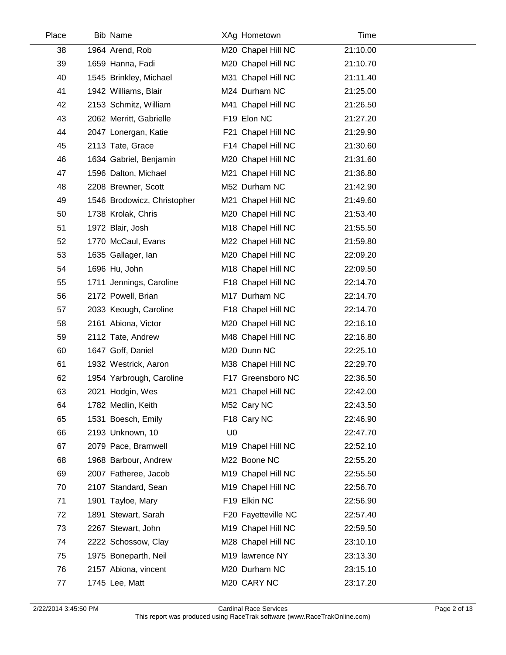| Place | <b>Bib Name</b>             |                | XAg Hometown        | Time     |  |
|-------|-----------------------------|----------------|---------------------|----------|--|
| 38    | 1964 Arend, Rob             |                | M20 Chapel Hill NC  | 21:10.00 |  |
| 39    | 1659 Hanna, Fadi            |                | M20 Chapel Hill NC  | 21:10.70 |  |
| 40    | 1545 Brinkley, Michael      |                | M31 Chapel Hill NC  | 21:11.40 |  |
| 41    | 1942 Williams, Blair        |                | M24 Durham NC       | 21:25.00 |  |
| 42    | 2153 Schmitz, William       |                | M41 Chapel Hill NC  | 21:26.50 |  |
| 43    | 2062 Merritt, Gabrielle     |                | F19 Elon NC         | 21:27.20 |  |
| 44    | 2047 Lonergan, Katie        |                | F21 Chapel Hill NC  | 21:29.90 |  |
| 45    | 2113 Tate, Grace            |                | F14 Chapel Hill NC  | 21:30.60 |  |
| 46    | 1634 Gabriel, Benjamin      |                | M20 Chapel Hill NC  | 21:31.60 |  |
| 47    | 1596 Dalton, Michael        |                | M21 Chapel Hill NC  | 21:36.80 |  |
| 48    | 2208 Brewner, Scott         |                | M52 Durham NC       | 21:42.90 |  |
| 49    | 1546 Brodowicz, Christopher |                | M21 Chapel Hill NC  | 21:49.60 |  |
| 50    | 1738 Krolak, Chris          |                | M20 Chapel Hill NC  | 21:53.40 |  |
| 51    | 1972 Blair, Josh            |                | M18 Chapel Hill NC  | 21:55.50 |  |
| 52    | 1770 McCaul, Evans          |                | M22 Chapel Hill NC  | 21:59.80 |  |
| 53    | 1635 Gallager, Ian          |                | M20 Chapel Hill NC  | 22:09.20 |  |
| 54    | 1696 Hu, John               |                | M18 Chapel Hill NC  | 22:09.50 |  |
| 55    | 1711 Jennings, Caroline     |                | F18 Chapel Hill NC  | 22:14.70 |  |
| 56    | 2172 Powell, Brian          |                | M17 Durham NC       | 22:14.70 |  |
| 57    | 2033 Keough, Caroline       |                | F18 Chapel Hill NC  | 22:14.70 |  |
| 58    | 2161 Abiona, Victor         |                | M20 Chapel Hill NC  | 22:16.10 |  |
| 59    | 2112 Tate, Andrew           |                | M48 Chapel Hill NC  | 22:16.80 |  |
| 60    | 1647 Goff, Daniel           |                | M20 Dunn NC         | 22:25.10 |  |
| 61    | 1932 Westrick, Aaron        |                | M38 Chapel Hill NC  | 22:29.70 |  |
| 62    | 1954 Yarbrough, Caroline    |                | F17 Greensboro NC   | 22:36.50 |  |
| 63    | 2021 Hodgin, Wes            |                | M21 Chapel Hill NC  | 22:42.00 |  |
| 64    | 1782 Medlin, Keith          |                | M52 Cary NC         | 22:43.50 |  |
| 65    | 1531 Boesch, Emily          |                | F18 Cary NC         | 22:46.90 |  |
| 66    | 2193 Unknown, 10            | U <sub>0</sub> |                     | 22:47.70 |  |
| 67    | 2079 Pace, Bramwell         |                | M19 Chapel Hill NC  | 22:52.10 |  |
| 68    | 1968 Barbour, Andrew        |                | M22 Boone NC        | 22:55.20 |  |
| 69    | 2007 Fatheree, Jacob        |                | M19 Chapel Hill NC  | 22:55.50 |  |
| 70    | 2107 Standard, Sean         |                | M19 Chapel Hill NC  | 22:56.70 |  |
| 71    | 1901 Tayloe, Mary           |                | F19 Elkin NC        | 22:56.90 |  |
| 72    | 1891 Stewart, Sarah         |                | F20 Fayetteville NC | 22:57.40 |  |
| 73    | 2267 Stewart, John          |                | M19 Chapel Hill NC  | 22:59.50 |  |
| 74    | 2222 Schossow, Clay         |                | M28 Chapel Hill NC  | 23:10.10 |  |
| 75    | 1975 Boneparth, Neil        |                | M19 lawrence NY     | 23:13.30 |  |
| 76    | 2157 Abiona, vincent        |                | M20 Durham NC       | 23:15.10 |  |
| 77    | 1745 Lee, Matt              |                | M20 CARY NC         | 23:17.20 |  |

 $\overline{a}$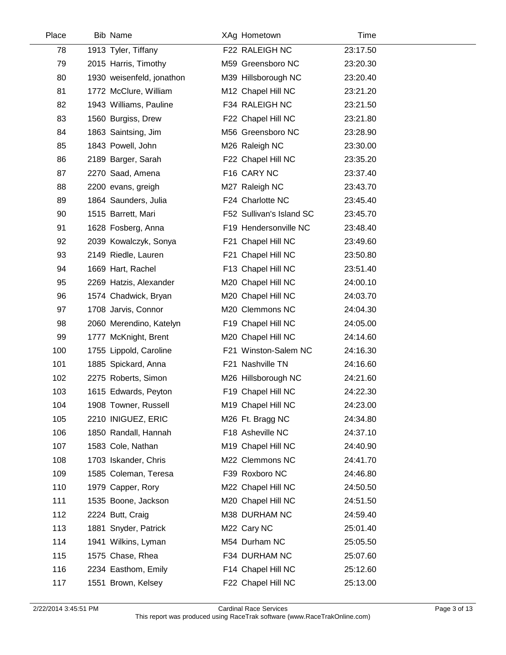| Place | <b>Bib Name</b>           | XAg Hometown             | Time     |  |
|-------|---------------------------|--------------------------|----------|--|
| 78    | 1913 Tyler, Tiffany       | F22 RALEIGH NC           | 23:17.50 |  |
| 79    | 2015 Harris, Timothy      | M59 Greensboro NC        | 23:20.30 |  |
| 80    | 1930 weisenfeld, jonathon | M39 Hillsborough NC      | 23:20.40 |  |
| 81    | 1772 McClure, William     | M12 Chapel Hill NC       | 23:21.20 |  |
| 82    | 1943 Williams, Pauline    | F34 RALEIGH NC           | 23:21.50 |  |
| 83    | 1560 Burgiss, Drew        | F22 Chapel Hill NC       | 23:21.80 |  |
| 84    | 1863 Saintsing, Jim       | M56 Greensboro NC        | 23:28.90 |  |
| 85    | 1843 Powell, John         | M26 Raleigh NC           | 23:30.00 |  |
| 86    | 2189 Barger, Sarah        | F22 Chapel Hill NC       | 23:35.20 |  |
| 87    | 2270 Saad, Amena          | F16 CARY NC              | 23:37.40 |  |
| 88    | 2200 evans, greigh        | M27 Raleigh NC           | 23:43.70 |  |
| 89    | 1864 Saunders, Julia      | F24 Charlotte NC         | 23:45.40 |  |
| 90    | 1515 Barrett, Mari        | F52 Sullivan's Island SC | 23:45.70 |  |
| 91    | 1628 Fosberg, Anna        | F19 Hendersonville NC    | 23:48.40 |  |
| 92    | 2039 Kowalczyk, Sonya     | F21 Chapel Hill NC       | 23:49.60 |  |
| 93    | 2149 Riedle, Lauren       | F21 Chapel Hill NC       | 23:50.80 |  |
| 94    | 1669 Hart, Rachel         | F13 Chapel Hill NC       | 23:51.40 |  |
| 95    | 2269 Hatzis, Alexander    | M20 Chapel Hill NC       | 24:00.10 |  |
| 96    | 1574 Chadwick, Bryan      | M20 Chapel Hill NC       | 24:03.70 |  |
| 97    | 1708 Jarvis, Connor       | M20 Clemmons NC          | 24:04.30 |  |
| 98    | 2060 Merendino, Katelyn   | F19 Chapel Hill NC       | 24:05.00 |  |
| 99    | 1777 McKnight, Brent      | M20 Chapel Hill NC       | 24:14.60 |  |
| 100   | 1755 Lippold, Caroline    | F21 Winston-Salem NC     | 24:16.30 |  |
| 101   | 1885 Spickard, Anna       | F21 Nashville TN         | 24:16.60 |  |
| 102   | 2275 Roberts, Simon       | M26 Hillsborough NC      | 24:21.60 |  |
| 103   | 1615 Edwards, Peyton      | F19 Chapel Hill NC       | 24:22.30 |  |
| 104   | 1908 Towner, Russell      | M19 Chapel Hill NC       | 24:23.00 |  |
| 105   | 2210 INIGUEZ, ERIC        | M26 Ft. Bragg NC         | 24:34.80 |  |
| 106   | 1850 Randall, Hannah      | F18 Asheville NC         | 24:37.10 |  |
| 107   | 1583 Cole, Nathan         | M19 Chapel Hill NC       | 24:40.90 |  |
| 108   | 1703 Iskander, Chris      | M22 Clemmons NC          | 24:41.70 |  |
| 109   | 1585 Coleman, Teresa      | F39 Roxboro NC           | 24:46.80 |  |
| 110   | 1979 Capper, Rory         | M22 Chapel Hill NC       | 24:50.50 |  |
| 111   | 1535 Boone, Jackson       | M20 Chapel Hill NC       | 24:51.50 |  |
| 112   | 2224 Butt, Craig          | M38 DURHAM NC            | 24:59.40 |  |
| 113   | 1881 Snyder, Patrick      | M22 Cary NC              | 25:01.40 |  |
| 114   | 1941 Wilkins, Lyman       | M54 Durham NC            | 25:05.50 |  |
| 115   | 1575 Chase, Rhea          | F34 DURHAM NC            | 25:07.60 |  |
| 116   | 2234 Easthom, Emily       | F14 Chapel Hill NC       | 25:12.60 |  |
| 117   | 1551 Brown, Kelsey        | F22 Chapel Hill NC       | 25:13.00 |  |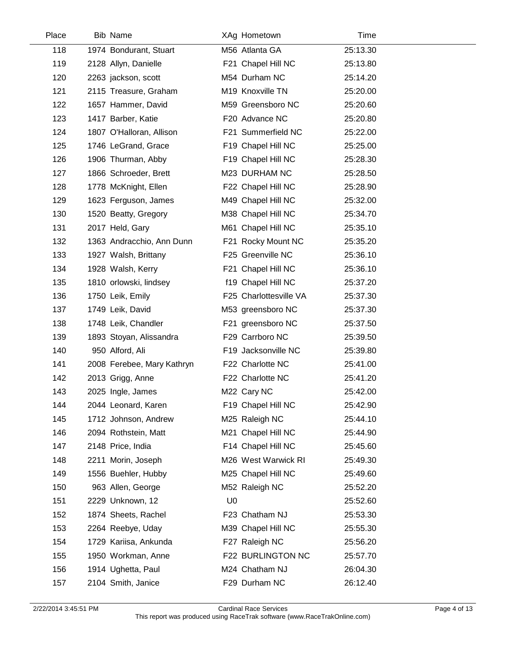| Place | Bib Name                   |                | XAg Hometown           | Time     |  |
|-------|----------------------------|----------------|------------------------|----------|--|
| 118   | 1974 Bondurant, Stuart     |                | M56 Atlanta GA         | 25:13.30 |  |
| 119   | 2128 Allyn, Danielle       |                | F21 Chapel Hill NC     | 25:13.80 |  |
| 120   | 2263 jackson, scott        |                | M54 Durham NC          | 25:14.20 |  |
| 121   | 2115 Treasure, Graham      |                | M19 Knoxville TN       | 25:20.00 |  |
| 122   | 1657 Hammer, David         |                | M59 Greensboro NC      | 25:20.60 |  |
| 123   | 1417 Barber, Katie         |                | F20 Advance NC         | 25:20.80 |  |
| 124   | 1807 O'Halloran, Allison   |                | F21 Summerfield NC     | 25:22.00 |  |
| 125   | 1746 LeGrand, Grace        |                | F19 Chapel Hill NC     | 25:25.00 |  |
| 126   | 1906 Thurman, Abby         |                | F19 Chapel Hill NC     | 25:28.30 |  |
| 127   | 1866 Schroeder, Brett      |                | M23 DURHAM NC          | 25:28.50 |  |
| 128   | 1778 McKnight, Ellen       |                | F22 Chapel Hill NC     | 25:28.90 |  |
| 129   | 1623 Ferguson, James       |                | M49 Chapel Hill NC     | 25:32.00 |  |
| 130   | 1520 Beatty, Gregory       |                | M38 Chapel Hill NC     | 25:34.70 |  |
| 131   | 2017 Held, Gary            |                | M61 Chapel Hill NC     | 25:35.10 |  |
| 132   | 1363 Andracchio, Ann Dunn  |                | F21 Rocky Mount NC     | 25:35.20 |  |
| 133   | 1927 Walsh, Brittany       |                | F25 Greenville NC      | 25:36.10 |  |
| 134   | 1928 Walsh, Kerry          |                | F21 Chapel Hill NC     | 25:36.10 |  |
| 135   | 1810 orlowski, lindsey     |                | f19 Chapel Hill NC     | 25:37.20 |  |
| 136   | 1750 Leik, Emily           |                | F25 Charlottesville VA | 25:37.30 |  |
| 137   | 1749 Leik, David           |                | M53 greensboro NC      | 25:37.30 |  |
| 138   | 1748 Leik, Chandler        |                | F21 greensboro NC      | 25:37.50 |  |
| 139   | 1893 Stoyan, Alissandra    |                | F29 Carrboro NC        | 25:39.50 |  |
| 140   | 950 Alford, Ali            |                | F19 Jacksonville NC    | 25:39.80 |  |
| 141   | 2008 Ferebee, Mary Kathryn |                | F22 Charlotte NC       | 25:41.00 |  |
| 142   | 2013 Grigg, Anne           |                | F22 Charlotte NC       | 25:41.20 |  |
| 143   | 2025 Ingle, James          |                | M22 Cary NC            | 25:42.00 |  |
| 144   | 2044 Leonard, Karen        |                | F19 Chapel Hill NC     | 25:42.90 |  |
| 145   | 1712 Johnson, Andrew       |                | M25 Raleigh NC         | 25:44.10 |  |
| 146   | 2094 Rothstein, Matt       |                | M21 Chapel Hill NC     | 25:44.90 |  |
| 147   | 2148 Price, India          |                | F14 Chapel Hill NC     | 25:45.60 |  |
| 148   | 2211 Morin, Joseph         |                | M26 West Warwick RI    | 25:49.30 |  |
| 149   | 1556 Buehler, Hubby        |                | M25 Chapel Hill NC     | 25:49.60 |  |
| 150   | 963 Allen, George          |                | M52 Raleigh NC         | 25:52.20 |  |
| 151   | 2229 Unknown, 12           | U <sub>0</sub> |                        | 25:52.60 |  |
| 152   | 1874 Sheets, Rachel        |                | F23 Chatham NJ         | 25:53.30 |  |
| 153   | 2264 Reebye, Uday          |                | M39 Chapel Hill NC     | 25:55.30 |  |
| 154   | 1729 Kariisa, Ankunda      |                | F27 Raleigh NC         | 25:56.20 |  |
| 155   | 1950 Workman, Anne         |                | F22 BURLINGTON NC      | 25:57.70 |  |
| 156   | 1914 Ughetta, Paul         |                | M24 Chatham NJ         | 26:04.30 |  |
| 157   | 2104 Smith, Janice         |                | F29 Durham NC          | 26:12.40 |  |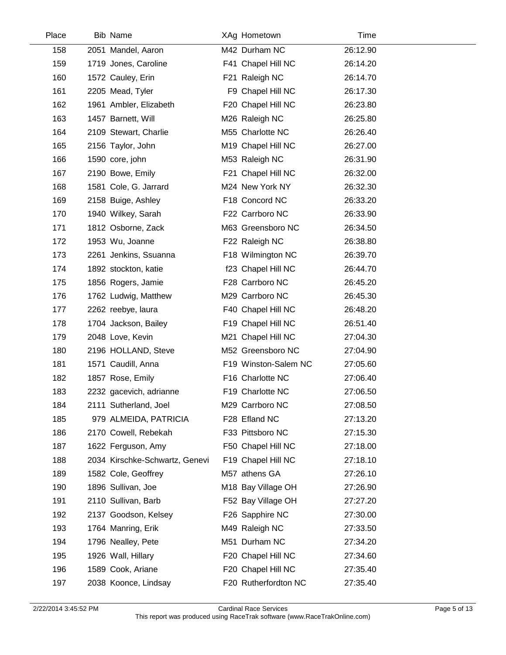| Place | <b>Bib Name</b>                | XAg Hometown         | Time     |
|-------|--------------------------------|----------------------|----------|
| 158   | 2051 Mandel, Aaron             | M42 Durham NC        | 26:12.90 |
| 159   | 1719 Jones, Caroline           | F41 Chapel Hill NC   | 26:14.20 |
| 160   | 1572 Cauley, Erin              | F21 Raleigh NC       | 26:14.70 |
| 161   | 2205 Mead, Tyler               | F9 Chapel Hill NC    | 26:17.30 |
| 162   | 1961 Ambler, Elizabeth         | F20 Chapel Hill NC   | 26:23.80 |
| 163   | 1457 Barnett, Will             | M26 Raleigh NC       | 26:25.80 |
| 164   | 2109 Stewart, Charlie          | M55 Charlotte NC     | 26:26.40 |
| 165   | 2156 Taylor, John              | M19 Chapel Hill NC   | 26:27.00 |
| 166   | 1590 core, john                | M53 Raleigh NC       | 26:31.90 |
| 167   | 2190 Bowe, Emily               | F21 Chapel Hill NC   | 26:32.00 |
| 168   | 1581 Cole, G. Jarrard          | M24 New York NY      | 26:32.30 |
| 169   | 2158 Buige, Ashley             | F18 Concord NC       | 26:33.20 |
| 170   | 1940 Wilkey, Sarah             | F22 Carrboro NC      | 26:33.90 |
| 171   | 1812 Osborne, Zack             | M63 Greensboro NC    | 26:34.50 |
| 172   | 1953 Wu, Joanne                | F22 Raleigh NC       | 26:38.80 |
| 173   | 2261 Jenkins, Ssuanna          | F18 Wilmington NC    | 26:39.70 |
| 174   | 1892 stockton, katie           | f23 Chapel Hill NC   | 26:44.70 |
| 175   | 1856 Rogers, Jamie             | F28 Carrboro NC      | 26:45.20 |
| 176   | 1762 Ludwig, Matthew           | M29 Carrboro NC      | 26:45.30 |
| 177   | 2262 reebye, laura             | F40 Chapel Hill NC   | 26:48.20 |
| 178   | 1704 Jackson, Bailey           | F19 Chapel Hill NC   | 26:51.40 |
| 179   | 2048 Love, Kevin               | M21 Chapel Hill NC   | 27:04.30 |
| 180   | 2196 HOLLAND, Steve            | M52 Greensboro NC    | 27:04.90 |
| 181   | 1571 Caudill, Anna             | F19 Winston-Salem NC | 27:05.60 |
| 182   | 1857 Rose, Emily               | F16 Charlotte NC     | 27:06.40 |
| 183   | 2232 gacevich, adrianne        | F19 Charlotte NC     | 27:06.50 |
| 184   | 2111 Sutherland, Joel          | M29 Carrboro NC      | 27:08.50 |
| 185   | 979 ALMEIDA, PATRICIA          | F28 Efland NC        | 27:13.20 |
| 186   | 2170 Cowell, Rebekah           | F33 Pittsboro NC     | 27:15.30 |
| 187   | 1622 Ferguson, Amy             | F50 Chapel Hill NC   | 27:18.00 |
| 188   | 2034 Kirschke-Schwartz, Genevi | F19 Chapel Hill NC   | 27:18.10 |
| 189   | 1582 Cole, Geoffrey            | M57 athens GA        | 27:26.10 |
| 190   | 1896 Sullivan, Joe             | M18 Bay Village OH   | 27:26.90 |
| 191   | 2110 Sullivan, Barb            | F52 Bay Village OH   | 27:27.20 |
| 192   | 2137 Goodson, Kelsey           | F26 Sapphire NC      | 27:30.00 |
| 193   | 1764 Manring, Erik             | M49 Raleigh NC       | 27:33.50 |
| 194   | 1796 Nealley, Pete             | M51 Durham NC        | 27:34.20 |
| 195   | 1926 Wall, Hillary             | F20 Chapel Hill NC   | 27:34.60 |
| 196   | 1589 Cook, Ariane              | F20 Chapel Hill NC   | 27:35.40 |
| 197   | 2038 Koonce, Lindsay           | F20 Rutherfordton NC | 27:35.40 |
|       |                                |                      |          |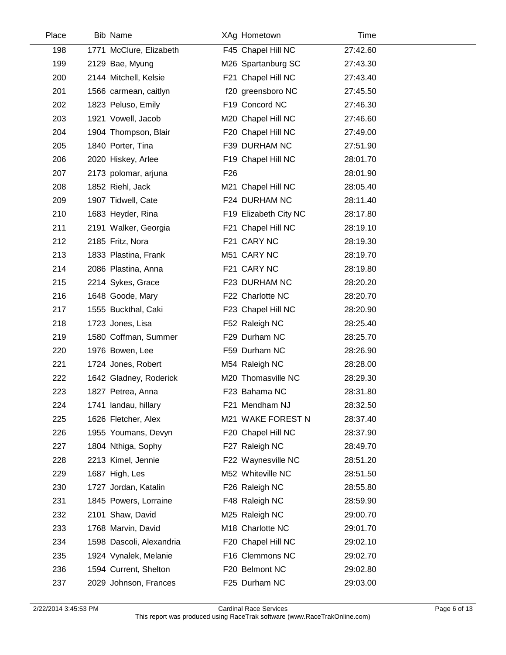| Place | <b>Bib Name</b>          |                 | XAg Hometown          | Time     |  |
|-------|--------------------------|-----------------|-----------------------|----------|--|
| 198   | 1771 McClure, Elizabeth  |                 | F45 Chapel Hill NC    | 27:42.60 |  |
| 199   | 2129 Bae, Myung          |                 | M26 Spartanburg SC    | 27:43.30 |  |
| 200   | 2144 Mitchell, Kelsie    |                 | F21 Chapel Hill NC    | 27:43.40 |  |
| 201   | 1566 carmean, caitlyn    |                 | f20 greensboro NC     | 27:45.50 |  |
| 202   | 1823 Peluso, Emily       |                 | F19 Concord NC        | 27:46.30 |  |
| 203   | 1921 Vowell, Jacob       |                 | M20 Chapel Hill NC    | 27:46.60 |  |
| 204   | 1904 Thompson, Blair     |                 | F20 Chapel Hill NC    | 27:49.00 |  |
| 205   | 1840 Porter, Tina        |                 | F39 DURHAM NC         | 27:51.90 |  |
| 206   | 2020 Hiskey, Arlee       |                 | F19 Chapel Hill NC    | 28:01.70 |  |
| 207   | 2173 polomar, arjuna     | F <sub>26</sub> |                       | 28:01.90 |  |
| 208   | 1852 Riehl, Jack         |                 | M21 Chapel Hill NC    | 28:05.40 |  |
| 209   | 1907 Tidwell, Cate       |                 | F24 DURHAM NC         | 28:11.40 |  |
| 210   | 1683 Heyder, Rina        |                 | F19 Elizabeth City NC | 28:17.80 |  |
| 211   | 2191 Walker, Georgia     |                 | F21 Chapel Hill NC    | 28:19.10 |  |
| 212   | 2185 Fritz, Nora         |                 | F21 CARY NC           | 28:19.30 |  |
| 213   | 1833 Plastina, Frank     |                 | M51 CARY NC           | 28:19.70 |  |
| 214   | 2086 Plastina, Anna      |                 | F21 CARY NC           | 28:19.80 |  |
| 215   | 2214 Sykes, Grace        |                 | F23 DURHAM NC         | 28:20.20 |  |
| 216   | 1648 Goode, Mary         |                 | F22 Charlotte NC      | 28:20.70 |  |
| 217   | 1555 Buckthal, Caki      |                 | F23 Chapel Hill NC    | 28:20.90 |  |
| 218   | 1723 Jones, Lisa         |                 | F52 Raleigh NC        | 28:25.40 |  |
| 219   | 1580 Coffman, Summer     |                 | F29 Durham NC         | 28:25.70 |  |
| 220   | 1976 Bowen, Lee          |                 | F59 Durham NC         | 28:26.90 |  |
| 221   | 1724 Jones, Robert       |                 | M54 Raleigh NC        | 28:28.00 |  |
| 222   | 1642 Gladney, Roderick   |                 | M20 Thomasville NC    | 28:29.30 |  |
| 223   | 1827 Petrea, Anna        |                 | F23 Bahama NC         | 28:31.80 |  |
| 224   | 1741 landau, hillary     |                 | F21 Mendham NJ        | 28:32.50 |  |
| 225   | 1626 Fletcher, Alex      |                 | M21 WAKE FOREST N     | 28:37.40 |  |
| 226   | 1955 Youmans, Devyn      |                 | F20 Chapel Hill NC    | 28:37.90 |  |
| 227   | 1804 Nthiga, Sophy       |                 | F27 Raleigh NC        | 28:49.70 |  |
| 228   | 2213 Kimel, Jennie       |                 | F22 Waynesville NC    | 28:51.20 |  |
| 229   | 1687 High, Les           |                 | M52 Whiteville NC     | 28:51.50 |  |
| 230   | 1727 Jordan, Katalin     |                 | F26 Raleigh NC        | 28:55.80 |  |
| 231   | 1845 Powers, Lorraine    |                 | F48 Raleigh NC        | 28:59.90 |  |
| 232   | 2101 Shaw, David         |                 | M25 Raleigh NC        | 29:00.70 |  |
| 233   | 1768 Marvin, David       |                 | M18 Charlotte NC      | 29:01.70 |  |
| 234   | 1598 Dascoli, Alexandria |                 | F20 Chapel Hill NC    | 29:02.10 |  |
| 235   | 1924 Vynalek, Melanie    |                 | F16 Clemmons NC       | 29:02.70 |  |
| 236   | 1594 Current, Shelton    |                 | F20 Belmont NC        | 29:02.80 |  |
| 237   | 2029 Johnson, Frances    |                 | F25 Durham NC         | 29:03.00 |  |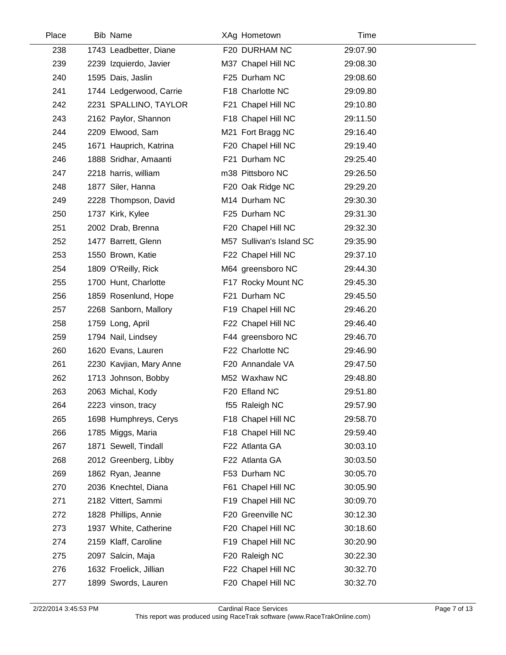| Place | <b>Bib Name</b>         | XAg Hometown             | Time     |  |
|-------|-------------------------|--------------------------|----------|--|
| 238   | 1743 Leadbetter, Diane  | F20 DURHAM NC            | 29:07.90 |  |
| 239   | 2239 Izquierdo, Javier  | M37 Chapel Hill NC       | 29:08.30 |  |
| 240   | 1595 Dais, Jaslin       | F25 Durham NC            | 29:08.60 |  |
| 241   | 1744 Ledgerwood, Carrie | F18 Charlotte NC         | 29:09.80 |  |
| 242   | 2231 SPALLINO, TAYLOR   | F21 Chapel Hill NC       | 29:10.80 |  |
| 243   | 2162 Paylor, Shannon    | F18 Chapel Hill NC       | 29:11.50 |  |
| 244   | 2209 Elwood, Sam        | M21 Fort Bragg NC        | 29:16.40 |  |
| 245   | 1671 Hauprich, Katrina  | F20 Chapel Hill NC       | 29:19.40 |  |
| 246   | 1888 Sridhar, Amaanti   | F21 Durham NC            | 29:25.40 |  |
| 247   | 2218 harris, william    | m38 Pittsboro NC         | 29:26.50 |  |
| 248   | 1877 Siler, Hanna       | F20 Oak Ridge NC         | 29:29.20 |  |
| 249   | 2228 Thompson, David    | M14 Durham NC            | 29:30.30 |  |
| 250   | 1737 Kirk, Kylee        | F25 Durham NC            | 29:31.30 |  |
| 251   | 2002 Drab, Brenna       | F20 Chapel Hill NC       | 29:32.30 |  |
| 252   | 1477 Barrett, Glenn     | M57 Sullivan's Island SC | 29:35.90 |  |
| 253   | 1550 Brown, Katie       | F22 Chapel Hill NC       | 29:37.10 |  |
| 254   | 1809 O'Reilly, Rick     | M64 greensboro NC        | 29:44.30 |  |
| 255   | 1700 Hunt, Charlotte    | F17 Rocky Mount NC       | 29:45.30 |  |
| 256   | 1859 Rosenlund, Hope    | F21 Durham NC            | 29:45.50 |  |
| 257   | 2268 Sanborn, Mallory   | F19 Chapel Hill NC       | 29:46.20 |  |
| 258   | 1759 Long, April        | F22 Chapel Hill NC       | 29:46.40 |  |
| 259   | 1794 Nail, Lindsey      | F44 greensboro NC        | 29:46.70 |  |
| 260   | 1620 Evans, Lauren      | F22 Charlotte NC         | 29:46.90 |  |
| 261   | 2230 Kavjian, Mary Anne | F20 Annandale VA         | 29:47.50 |  |
| 262   | 1713 Johnson, Bobby     | M52 Waxhaw NC            | 29:48.80 |  |
| 263   | 2063 Michal, Kody       | F20 Efland NC            | 29:51.80 |  |
| 264   | 2223 vinson, tracy      | f55 Raleigh NC           | 29:57.90 |  |
| 265   | 1698 Humphreys, Cerys   | F18 Chapel Hill NC       | 29:58.70 |  |
| 266   | 1785 Miggs, Maria       | F18 Chapel Hill NC       | 29:59.40 |  |
| 267   | 1871 Sewell, Tindall    | F22 Atlanta GA           | 30:03.10 |  |
| 268   | 2012 Greenberg, Libby   | F22 Atlanta GA           | 30:03.50 |  |
| 269   | 1862 Ryan, Jeanne       | F53 Durham NC            | 30:05.70 |  |
| 270   | 2036 Knechtel, Diana    | F61 Chapel Hill NC       | 30:05.90 |  |
| 271   | 2182 Vittert, Sammi     | F19 Chapel Hill NC       | 30:09.70 |  |
| 272   | 1828 Phillips, Annie    | F20 Greenville NC        | 30:12.30 |  |
| 273   | 1937 White, Catherine   | F20 Chapel Hill NC       | 30:18.60 |  |
| 274   | 2159 Klaff, Caroline    | F19 Chapel Hill NC       | 30:20.90 |  |
| 275   | 2097 Salcin, Maja       | F20 Raleigh NC           | 30:22.30 |  |
| 276   | 1632 Froelick, Jillian  | F22 Chapel Hill NC       | 30:32.70 |  |
| 277   | 1899 Swords, Lauren     | F20 Chapel Hill NC       | 30:32.70 |  |
|       |                         |                          |          |  |

 $\overline{a}$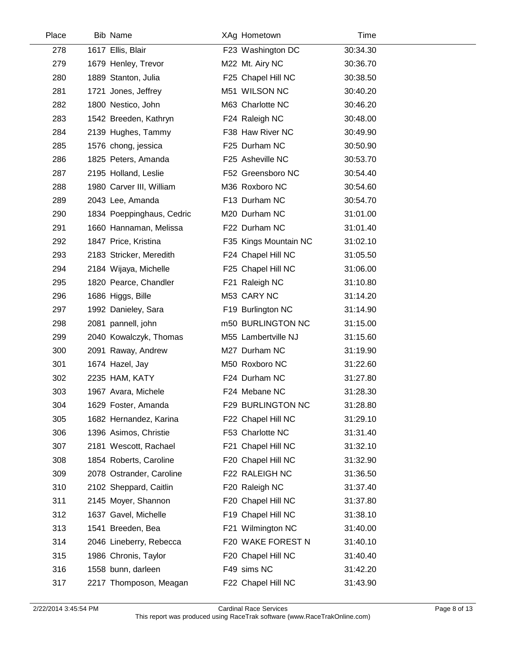| Place | <b>Bib Name</b>           | XAg Hometown          | Time     |  |
|-------|---------------------------|-----------------------|----------|--|
| 278   | 1617 Ellis, Blair         | F23 Washington DC     | 30:34.30 |  |
| 279   | 1679 Henley, Trevor       | M22 Mt. Airy NC       | 30:36.70 |  |
| 280   | 1889 Stanton, Julia       | F25 Chapel Hill NC    | 30:38.50 |  |
| 281   | 1721 Jones, Jeffrey       | M51 WILSON NC         | 30:40.20 |  |
| 282   | 1800 Nestico, John        | M63 Charlotte NC      | 30:46.20 |  |
| 283   | 1542 Breeden, Kathryn     | F24 Raleigh NC        | 30:48.00 |  |
| 284   | 2139 Hughes, Tammy        | F38 Haw River NC      | 30:49.90 |  |
| 285   | 1576 chong, jessica       | F25 Durham NC         | 30:50.90 |  |
| 286   | 1825 Peters, Amanda       | F25 Asheville NC      | 30:53.70 |  |
| 287   | 2195 Holland, Leslie      | F52 Greensboro NC     | 30:54.40 |  |
| 288   | 1980 Carver III, William  | M36 Roxboro NC        | 30:54.60 |  |
| 289   | 2043 Lee, Amanda          | F13 Durham NC         | 30:54.70 |  |
| 290   | 1834 Poeppinghaus, Cedric | M20 Durham NC         | 31:01.00 |  |
| 291   | 1660 Hannaman, Melissa    | F22 Durham NC         | 31:01.40 |  |
| 292   | 1847 Price, Kristina      | F35 Kings Mountain NC | 31:02.10 |  |
| 293   | 2183 Stricker, Meredith   | F24 Chapel Hill NC    | 31:05.50 |  |
| 294   | 2184 Wijaya, Michelle     | F25 Chapel Hill NC    | 31:06.00 |  |
| 295   | 1820 Pearce, Chandler     | F21 Raleigh NC        | 31:10.80 |  |
| 296   | 1686 Higgs, Bille         | M53 CARY NC           | 31:14.20 |  |
| 297   | 1992 Danieley, Sara       | F19 Burlington NC     | 31:14.90 |  |
| 298   | 2081 pannell, john        | m50 BURLINGTON NC     | 31:15.00 |  |
| 299   | 2040 Kowalczyk, Thomas    | M55 Lambertville NJ   | 31:15.60 |  |
| 300   | 2091 Raway, Andrew        | M27 Durham NC         | 31:19.90 |  |
| 301   | 1674 Hazel, Jay           | M50 Roxboro NC        | 31:22.60 |  |
| 302   | 2235 HAM, KATY            | F24 Durham NC         | 31:27.80 |  |
| 303   | 1967 Avara, Michele       | F24 Mebane NC         | 31:28.30 |  |
| 304   | 1629 Foster, Amanda       | F29 BURLINGTON NC     | 31:28.80 |  |
| 305   | 1682 Hernandez, Karina    | F22 Chapel Hill NC    | 31:29.10 |  |
| 306   | 1396 Asimos, Christie     | F53 Charlotte NC      | 31:31.40 |  |
| 307   | 2181 Wescott, Rachael     | F21 Chapel Hill NC    | 31:32.10 |  |
| 308   | 1854 Roberts, Caroline    | F20 Chapel Hill NC    | 31:32.90 |  |
| 309   | 2078 Ostrander, Caroline  | F22 RALEIGH NC        | 31:36.50 |  |
| 310   | 2102 Sheppard, Caitlin    | F20 Raleigh NC        | 31:37.40 |  |
| 311   | 2145 Moyer, Shannon       | F20 Chapel Hill NC    | 31:37.80 |  |
| 312   | 1637 Gavel, Michelle      | F19 Chapel Hill NC    | 31:38.10 |  |
| 313   | 1541 Breeden, Bea         | F21 Wilmington NC     | 31:40.00 |  |
| 314   | 2046 Lineberry, Rebecca   | F20 WAKE FOREST N     | 31:40.10 |  |
| 315   | 1986 Chronis, Taylor      | F20 Chapel Hill NC    | 31:40.40 |  |
| 316   | 1558 bunn, darleen        | F49 sims NC           | 31:42.20 |  |
| 317   | 2217 Thomposon, Meagan    | F22 Chapel Hill NC    | 31:43.90 |  |

 $\overline{a}$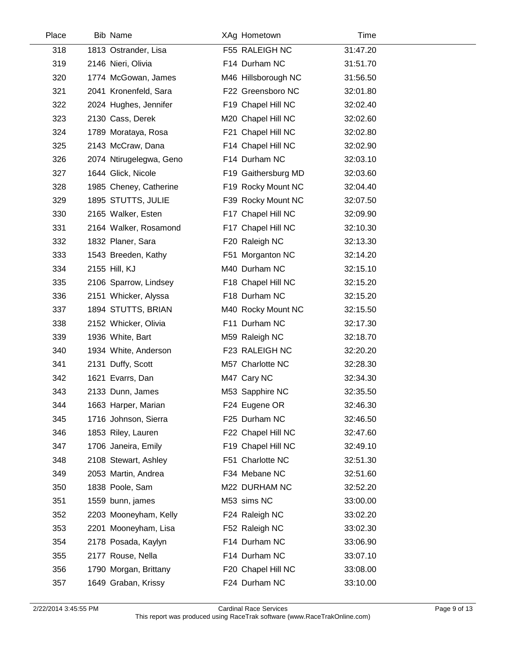| Place | Bib Name                | XAg Hometown        | Time     |  |
|-------|-------------------------|---------------------|----------|--|
| 318   | 1813 Ostrander, Lisa    | F55 RALEIGH NC      | 31:47.20 |  |
| 319   | 2146 Nieri, Olivia      | F14 Durham NC       | 31:51.70 |  |
| 320   | 1774 McGowan, James     | M46 Hillsborough NC | 31:56.50 |  |
| 321   | 2041 Kronenfeld, Sara   | F22 Greensboro NC   | 32:01.80 |  |
| 322   | 2024 Hughes, Jennifer   | F19 Chapel Hill NC  | 32:02.40 |  |
| 323   | 2130 Cass, Derek        | M20 Chapel Hill NC  | 32:02.60 |  |
| 324   | 1789 Morataya, Rosa     | F21 Chapel Hill NC  | 32:02.80 |  |
| 325   | 2143 McCraw, Dana       | F14 Chapel Hill NC  | 32:02.90 |  |
| 326   | 2074 Ntirugelegwa, Geno | F14 Durham NC       | 32:03.10 |  |
| 327   | 1644 Glick, Nicole      | F19 Gaithersburg MD | 32:03.60 |  |
| 328   | 1985 Cheney, Catherine  | F19 Rocky Mount NC  | 32:04.40 |  |
| 329   | 1895 STUTTS, JULIE      | F39 Rocky Mount NC  | 32:07.50 |  |
| 330   | 2165 Walker, Esten      | F17 Chapel Hill NC  | 32:09.90 |  |
| 331   | 2164 Walker, Rosamond   | F17 Chapel Hill NC  | 32:10.30 |  |
| 332   | 1832 Planer, Sara       | F20 Raleigh NC      | 32:13.30 |  |
| 333   | 1543 Breeden, Kathy     | F51 Morganton NC    | 32:14.20 |  |
| 334   | 2155 Hill, KJ           | M40 Durham NC       | 32:15.10 |  |
| 335   | 2106 Sparrow, Lindsey   | F18 Chapel Hill NC  | 32:15.20 |  |
| 336   | 2151 Whicker, Alyssa    | F18 Durham NC       | 32:15.20 |  |
| 337   | 1894 STUTTS, BRIAN      | M40 Rocky Mount NC  | 32:15.50 |  |
| 338   | 2152 Whicker, Olivia    | F11 Durham NC       | 32:17.30 |  |
| 339   | 1936 White, Bart        | M59 Raleigh NC      | 32:18.70 |  |
| 340   | 1934 White, Anderson    | F23 RALEIGH NC      | 32:20.20 |  |
| 341   | 2131 Duffy, Scott       | M57 Charlotte NC    | 32:28.30 |  |
| 342   | 1621 Evarrs, Dan        | M47 Cary NC         | 32:34.30 |  |
| 343   | 2133 Dunn, James        | M53 Sapphire NC     | 32:35.50 |  |
| 344   | 1663 Harper, Marian     | F24 Eugene OR       | 32:46.30 |  |
| 345   | 1716 Johnson, Sierra    | F25 Durham NC       | 32:46.50 |  |
| 346   | 1853 Riley, Lauren      | F22 Chapel Hill NC  | 32:47.60 |  |
| 347   | 1706 Janeira, Emily     | F19 Chapel Hill NC  | 32:49.10 |  |
| 348   | 2108 Stewart, Ashley    | F51 Charlotte NC    | 32:51.30 |  |
| 349   | 2053 Martin, Andrea     | F34 Mebane NC       | 32:51.60 |  |
| 350   | 1838 Poole, Sam         | M22 DURHAM NC       | 32:52.20 |  |
| 351   | 1559 bunn, james        | M53 sims NC         | 33:00.00 |  |
| 352   | 2203 Mooneyham, Kelly   | F24 Raleigh NC      | 33:02.20 |  |
| 353   | 2201 Mooneyham, Lisa    | F52 Raleigh NC      | 33:02.30 |  |
| 354   | 2178 Posada, Kaylyn     | F14 Durham NC       | 33:06.90 |  |
| 355   | 2177 Rouse, Nella       | F14 Durham NC       | 33:07.10 |  |
| 356   | 1790 Morgan, Brittany   | F20 Chapel Hill NC  | 33:08.00 |  |
| 357   | 1649 Graban, Krissy     | F24 Durham NC       | 33:10.00 |  |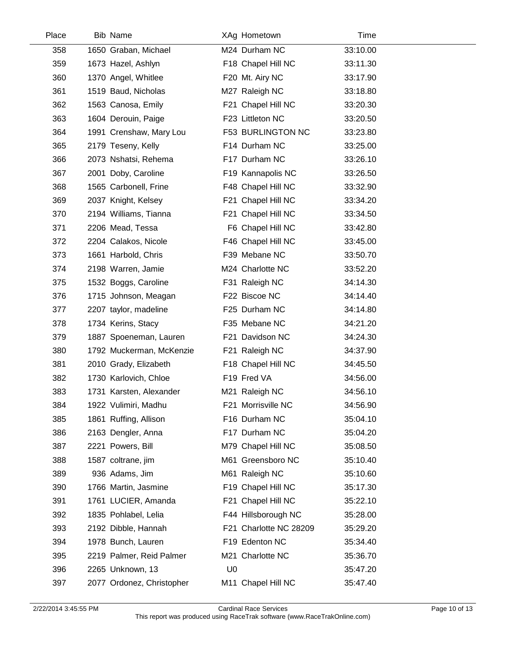| Place | <b>Bib Name</b>           |                | XAg Hometown           | Time     |  |
|-------|---------------------------|----------------|------------------------|----------|--|
| 358   | 1650 Graban, Michael      |                | M24 Durham NC          | 33:10.00 |  |
| 359   | 1673 Hazel, Ashlyn        |                | F18 Chapel Hill NC     | 33:11.30 |  |
| 360   | 1370 Angel, Whitlee       |                | F20 Mt. Airy NC        | 33:17.90 |  |
| 361   | 1519 Baud, Nicholas       |                | M27 Raleigh NC         | 33:18.80 |  |
| 362   | 1563 Canosa, Emily        |                | F21 Chapel Hill NC     | 33:20.30 |  |
| 363   | 1604 Derouin, Paige       |                | F23 Littleton NC       | 33:20.50 |  |
| 364   | 1991 Crenshaw, Mary Lou   |                | F53 BURLINGTON NC      | 33:23.80 |  |
| 365   | 2179 Teseny, Kelly        |                | F14 Durham NC          | 33:25.00 |  |
| 366   | 2073 Nshatsi, Rehema      |                | F17 Durham NC          | 33:26.10 |  |
| 367   | 2001 Doby, Caroline       |                | F19 Kannapolis NC      | 33:26.50 |  |
| 368   | 1565 Carbonell, Frine     |                | F48 Chapel Hill NC     | 33:32.90 |  |
| 369   | 2037 Knight, Kelsey       |                | F21 Chapel Hill NC     | 33:34.20 |  |
| 370   | 2194 Williams, Tianna     |                | F21 Chapel Hill NC     | 33:34.50 |  |
| 371   | 2206 Mead, Tessa          |                | F6 Chapel Hill NC      | 33:42.80 |  |
| 372   | 2204 Calakos, Nicole      |                | F46 Chapel Hill NC     | 33:45.00 |  |
| 373   | 1661 Harbold, Chris       |                | F39 Mebane NC          | 33:50.70 |  |
| 374   | 2198 Warren, Jamie        |                | M24 Charlotte NC       | 33:52.20 |  |
| 375   | 1532 Boggs, Caroline      |                | F31 Raleigh NC         | 34:14.30 |  |
| 376   | 1715 Johnson, Meagan      |                | F22 Biscoe NC          | 34:14.40 |  |
| 377   | 2207 taylor, madeline     |                | F25 Durham NC          | 34:14.80 |  |
| 378   | 1734 Kerins, Stacy        |                | F35 Mebane NC          | 34:21.20 |  |
| 379   | 1887 Spoeneman, Lauren    |                | F21 Davidson NC        | 34:24.30 |  |
| 380   | 1792 Muckerman, McKenzie  |                | F21 Raleigh NC         | 34:37.90 |  |
| 381   | 2010 Grady, Elizabeth     |                | F18 Chapel Hill NC     | 34:45.50 |  |
| 382   | 1730 Karlovich, Chloe     |                | F19 Fred VA            | 34:56.00 |  |
| 383   | 1731 Karsten, Alexander   |                | M21 Raleigh NC         | 34:56.10 |  |
| 384   | 1922 Vulimiri, Madhu      |                | F21 Morrisville NC     | 34:56.90 |  |
| 385   | 1861 Ruffing, Allison     |                | F16 Durham NC          | 35:04.10 |  |
| 386   | 2163 Dengler, Anna        |                | F17 Durham NC          | 35:04.20 |  |
| 387   | 2221 Powers, Bill         |                | M79 Chapel Hill NC     | 35:08.50 |  |
| 388   | 1587 coltrane, jim        |                | M61 Greensboro NC      | 35:10.40 |  |
| 389   | 936 Adams, Jim            |                | M61 Raleigh NC         | 35:10.60 |  |
| 390   | 1766 Martin, Jasmine      |                | F19 Chapel Hill NC     | 35:17.30 |  |
| 391   | 1761 LUCIER, Amanda       |                | F21 Chapel Hill NC     | 35:22.10 |  |
| 392   | 1835 Pohlabel, Lelia      |                | F44 Hillsborough NC    | 35:28.00 |  |
| 393   | 2192 Dibble, Hannah       |                | F21 Charlotte NC 28209 | 35:29.20 |  |
| 394   | 1978 Bunch, Lauren        |                | F19 Edenton NC         | 35:34.40 |  |
| 395   | 2219 Palmer, Reid Palmer  |                | M21 Charlotte NC       | 35:36.70 |  |
| 396   | 2265 Unknown, 13          | U <sub>0</sub> |                        | 35:47.20 |  |
| 397   | 2077 Ordonez, Christopher |                | M11 Chapel Hill NC     | 35:47.40 |  |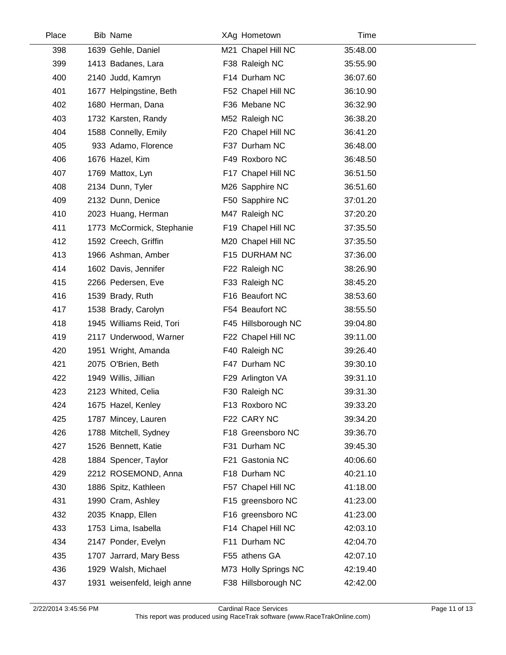| Place | <b>Bib Name</b>             | XAg Hometown         | Time     |  |
|-------|-----------------------------|----------------------|----------|--|
| 398   | 1639 Gehle, Daniel          | M21 Chapel Hill NC   | 35:48.00 |  |
| 399   | 1413 Badanes, Lara          | F38 Raleigh NC       | 35:55.90 |  |
| 400   | 2140 Judd, Kamryn           | F14 Durham NC        | 36:07.60 |  |
| 401   | 1677 Helpingstine, Beth     | F52 Chapel Hill NC   | 36:10.90 |  |
| 402   | 1680 Herman, Dana           | F36 Mebane NC        | 36:32.90 |  |
| 403   | 1732 Karsten, Randy         | M52 Raleigh NC       | 36:38.20 |  |
| 404   | 1588 Connelly, Emily        | F20 Chapel Hill NC   | 36:41.20 |  |
| 405   | 933 Adamo, Florence         | F37 Durham NC        | 36:48.00 |  |
| 406   | 1676 Hazel, Kim             | F49 Roxboro NC       | 36:48.50 |  |
| 407   | 1769 Mattox, Lyn            | F17 Chapel Hill NC   | 36:51.50 |  |
| 408   | 2134 Dunn, Tyler            | M26 Sapphire NC      | 36:51.60 |  |
| 409   | 2132 Dunn, Denice           | F50 Sapphire NC      | 37:01.20 |  |
| 410   | 2023 Huang, Herman          | M47 Raleigh NC       | 37:20.20 |  |
| 411   | 1773 McCormick, Stephanie   | F19 Chapel Hill NC   | 37:35.50 |  |
| 412   | 1592 Creech, Griffin        | M20 Chapel Hill NC   | 37:35.50 |  |
| 413   | 1966 Ashman, Amber          | F15 DURHAM NC        | 37:36.00 |  |
| 414   | 1602 Davis, Jennifer        | F22 Raleigh NC       | 38:26.90 |  |
| 415   | 2266 Pedersen, Eve          | F33 Raleigh NC       | 38:45.20 |  |
| 416   | 1539 Brady, Ruth            | F16 Beaufort NC      | 38:53.60 |  |
| 417   | 1538 Brady, Carolyn         | F54 Beaufort NC      | 38:55.50 |  |
| 418   | 1945 Williams Reid, Tori    | F45 Hillsborough NC  | 39:04.80 |  |
| 419   | 2117 Underwood, Warner      | F22 Chapel Hill NC   | 39:11.00 |  |
| 420   | 1951 Wright, Amanda         | F40 Raleigh NC       | 39:26.40 |  |
| 421   | 2075 O'Brien, Beth          | F47 Durham NC        | 39:30.10 |  |
| 422   | 1949 Willis, Jillian        | F29 Arlington VA     | 39:31.10 |  |
| 423   | 2123 Whited, Celia          | F30 Raleigh NC       | 39:31.30 |  |
| 424   | 1675 Hazel, Kenley          | F13 Roxboro NC       | 39:33.20 |  |
| 425   | 1787 Mincey, Lauren         | F22 CARY NC          | 39:34.20 |  |
| 426   | 1788 Mitchell, Sydney       | F18 Greensboro NC    | 39:36.70 |  |
| 427   | 1526 Bennett, Katie         | F31 Durham NC        | 39:45.30 |  |
| 428   | 1884 Spencer, Taylor        | F21 Gastonia NC      | 40:06.60 |  |
| 429   | 2212 ROSEMOND, Anna         | F18 Durham NC        | 40:21.10 |  |
| 430   | 1886 Spitz, Kathleen        | F57 Chapel Hill NC   | 41:18.00 |  |
| 431   | 1990 Cram, Ashley           | F15 greensboro NC    | 41:23.00 |  |
| 432   | 2035 Knapp, Ellen           | F16 greensboro NC    | 41:23.00 |  |
| 433   | 1753 Lima, Isabella         | F14 Chapel Hill NC   | 42:03.10 |  |
| 434   | 2147 Ponder, Evelyn         | F11 Durham NC        | 42:04.70 |  |
| 435   | 1707 Jarrard, Mary Bess     | F55 athens GA        | 42:07.10 |  |
| 436   | 1929 Walsh, Michael         | M73 Holly Springs NC | 42:19.40 |  |
| 437   | 1931 weisenfeld, leigh anne | F38 Hillsborough NC  | 42:42.00 |  |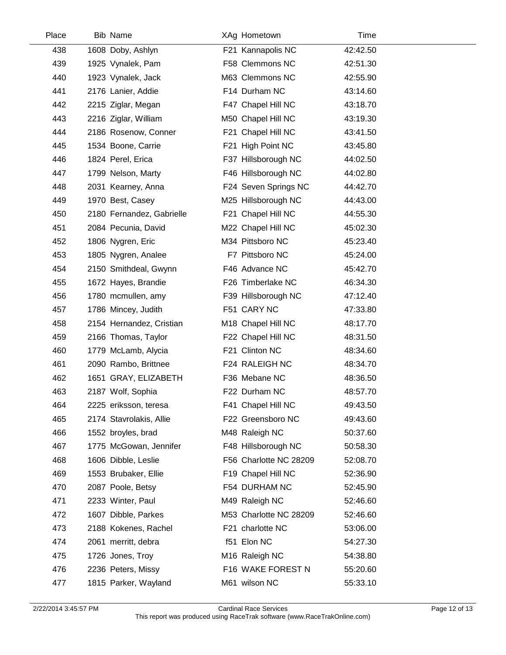| 438 | 1608 Doby, Ashlyn         | F21 Kannapolis NC      | 42:42.50 |  |
|-----|---------------------------|------------------------|----------|--|
| 439 | 1925 Vynalek, Pam         | F58 Clemmons NC        | 42:51.30 |  |
| 440 | 1923 Vynalek, Jack        | M63 Clemmons NC        | 42:55.90 |  |
| 441 | 2176 Lanier, Addie        | F14 Durham NC          | 43:14.60 |  |
| 442 | 2215 Ziglar, Megan        | F47 Chapel Hill NC     | 43:18.70 |  |
| 443 | 2216 Ziglar, William      | M50 Chapel Hill NC     | 43:19.30 |  |
| 444 | 2186 Rosenow, Conner      | F21 Chapel Hill NC     | 43:41.50 |  |
| 445 | 1534 Boone, Carrie        | F21 High Point NC      | 43:45.80 |  |
| 446 | 1824 Perel, Erica         | F37 Hillsborough NC    | 44:02.50 |  |
| 447 | 1799 Nelson, Marty        | F46 Hillsborough NC    | 44:02.80 |  |
| 448 | 2031 Kearney, Anna        | F24 Seven Springs NC   | 44:42.70 |  |
| 449 | 1970 Best, Casey          | M25 Hillsborough NC    | 44:43.00 |  |
| 450 | 2180 Fernandez, Gabrielle | F21 Chapel Hill NC     | 44:55.30 |  |
| 451 | 2084 Pecunia, David       | M22 Chapel Hill NC     | 45:02.30 |  |
| 452 | 1806 Nygren, Eric         | M34 Pittsboro NC       | 45:23.40 |  |
| 453 | 1805 Nygren, Analee       | F7 Pittsboro NC        | 45:24.00 |  |
| 454 | 2150 Smithdeal, Gwynn     | F46 Advance NC         | 45:42.70 |  |
| 455 | 1672 Hayes, Brandie       | F26 Timberlake NC      | 46:34.30 |  |
| 456 | 1780 mcmullen, amy        | F39 Hillsborough NC    | 47:12.40 |  |
| 457 | 1786 Mincey, Judith       | F51 CARY NC            | 47:33.80 |  |
| 458 | 2154 Hernandez, Cristian  | M18 Chapel Hill NC     | 48:17.70 |  |
| 459 | 2166 Thomas, Taylor       | F22 Chapel Hill NC     | 48:31.50 |  |
| 460 | 1779 McLamb, Alycia       | F21 Clinton NC         | 48:34.60 |  |
| 461 | 2090 Rambo, Brittnee      | F24 RALEIGH NC         | 48:34.70 |  |
| 462 | 1651 GRAY, ELIZABETH      | F36 Mebane NC          | 48:36.50 |  |
| 463 | 2187 Wolf, Sophia         | F22 Durham NC          | 48:57.70 |  |
| 464 | 2225 eriksson, teresa     | F41 Chapel Hill NC     | 49:43.50 |  |
| 465 | 2174 Stavrolakis, Allie   | F22 Greensboro NC      | 49:43.60 |  |
| 466 | 1552 broyles, brad        | M48 Raleigh NC         | 50:37.60 |  |
| 467 | 1775 McGowan, Jennifer    | F48 Hillsborough NC    | 50:58.30 |  |
| 468 | 1606 Dibble, Leslie       | F56 Charlotte NC 28209 | 52:08.70 |  |
| 469 | 1553 Brubaker, Ellie      | F19 Chapel Hill NC     | 52:36.90 |  |
| 470 | 2087 Poole, Betsy         | F54 DURHAM NC          | 52:45.90 |  |
| 471 | 2233 Winter, Paul         | M49 Raleigh NC         | 52:46.60 |  |
| 472 | 1607 Dibble, Parkes       | M53 Charlotte NC 28209 | 52:46.60 |  |
| 473 | 2188 Kokenes, Rachel      | F21 charlotte NC       | 53:06.00 |  |
| 474 | 2061 merritt, debra       | f51 Elon NC            | 54:27.30 |  |
| 475 | 1726 Jones, Troy          | M16 Raleigh NC         | 54:38.80 |  |
| 476 | 2236 Peters, Missy        | F16 WAKE FOREST N      | 55:20.60 |  |
| 477 | 1815 Parker, Wayland      | M61 wilson NC          | 55:33.10 |  |